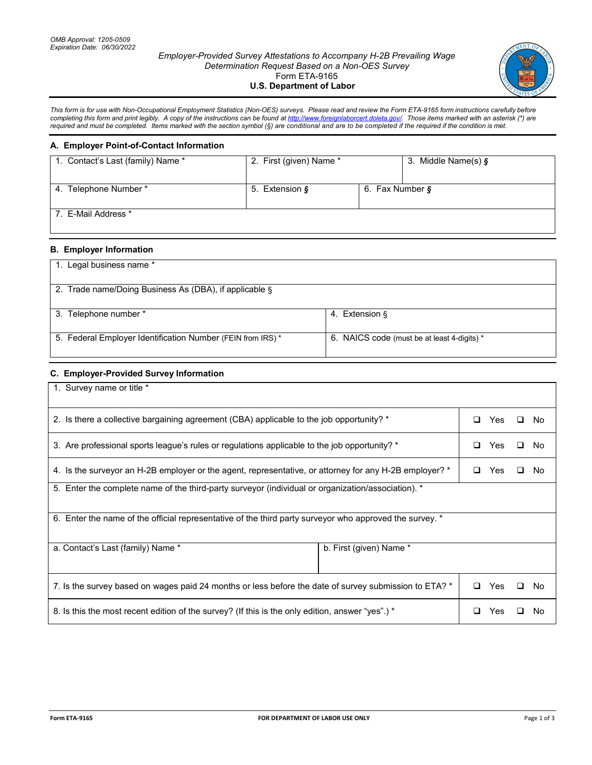#### *Employer-Provided Survey Attestations to Accompany H-2B Prevailing Wage Determination Request Based on a Non-OES Survey* Form ETA-9165 **U.S. Department of Labor**



*This form is for use with Non-Occupational Employment Statistics (Non-OES) surveys. Please read and review the Form ETA-9165 form instructions carefully before* completing this form and print legibly. A copy of the instructions can be found at <u>http://www.foreignlaborcert.doleta.gov/</u>. Those items marked with an asterisk (\*) are *required and must be completed. Items marked with the section symbol (§) are conditional and are to be completed if the required if the condition is met.*

#### **A. Employer Point-of-Contact Information**

| 1. Contact's Last (family) Name * | 2. First (given) Name * |                 | 3. Middle Name(s) $\S$ |
|-----------------------------------|-------------------------|-----------------|------------------------|
| 4. Telephone Number *             | 5. Extension §          | 6. Fax Number § |                        |
| 7. E-Mail Address *               |                         |                 |                        |

# **B. Employer Information**

| Legal business name *                                       |                                             |
|-------------------------------------------------------------|---------------------------------------------|
| 2. Trade name/Doing Business As (DBA), if applicable §      |                                             |
| 3. Telephone number *                                       | 4. Extension §                              |
| 5. Federal Employer Identification Number (FEIN from IRS) * | 6. NAICS code (must be at least 4-digits) * |

## **C. Employer-Provided Survey Information**

| 1. Survey name or title *                                                                               |  |     |              |     |
|---------------------------------------------------------------------------------------------------------|--|-----|--------------|-----|
| 2. Is there a collective bargaining agreement (CBA) applicable to the job opportunity? *                |  | Yes | $\mathbf{1}$ | No. |
| 3. Are professional sports league's rules or regulations applicable to the job opportunity? *           |  | Yes |              | No. |
| 4. Is the surveyor an H-2B employer or the agent, representative, or attorney for any H-2B employer? *  |  |     | ப            | No. |
| 5. Enter the complete name of the third-party surveyor (individual or organization/association). *      |  |     |              |     |
| 6. Enter the name of the official representative of the third party surveyor who approved the survey. * |  |     |              |     |
| b. First (given) Name *<br>a. Contact's Last (family) Name *                                            |  |     |              |     |
| 7. Is the survey based on wages paid 24 months or less before the date of survey submission to ETA? *   |  | Yes | . .          | No. |
| 8. Is this the most recent edition of the survey? (If this is the only edition, answer "yes".) *        |  | Yes |              | No. |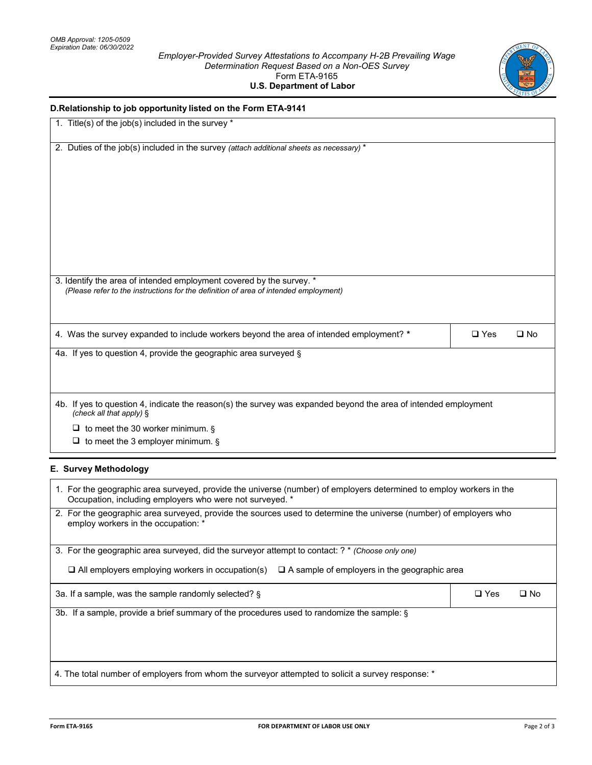### *Employer-Provided Survey Attestations to Accompany H-2B Prevailing Wage Determination Request Based on a Non-OES Survey* Form ETA-9165 **U.S. Department of Labor**



| D.Relationship to job opportunity listed on the Form ETA-9141                                                                                                                   |               |              |
|---------------------------------------------------------------------------------------------------------------------------------------------------------------------------------|---------------|--------------|
| 1. Title(s) of the job(s) included in the survey *                                                                                                                              |               |              |
| 2. Duties of the job(s) included in the survey (attach additional sheets as necessary) *                                                                                        |               |              |
|                                                                                                                                                                                 |               |              |
|                                                                                                                                                                                 |               |              |
| 3. Identify the area of intended employment covered by the survey. *<br>(Please refer to the instructions for the definition of area of intended employment)                    |               |              |
| 4. Was the survey expanded to include workers beyond the area of intended employment? *                                                                                         | $\square$ Yes | $\square$ No |
| 4a. If yes to question 4, provide the geographic area surveyed §                                                                                                                |               |              |
| 4b. If yes to question 4, indicate the reason(s) the survey was expanded beyond the area of intended employment<br>(check all that apply) §                                     |               |              |
| $\Box$ to meet the 30 worker minimum. §<br>$\Box$ to meet the 3 employer minimum. §                                                                                             |               |              |
| E. Survey Methodology                                                                                                                                                           |               |              |
| 1. For the geographic area surveyed, provide the universe (number) of employers determined to employ workers in the<br>Occupation, including employers who were not surveyed. * |               |              |
| 2. For the geographic area surveyed, provide the sources used to determine the universe (number) of employers who<br>employ workers in the occupation: *                        |               |              |
| 3. For the geographic area surveyed, did the surveyor attempt to contact: ? * (Choose only one)                                                                                 |               |              |
| $\Box$ All employers employing workers in occupation(s)<br>$\Box$ A sample of employers in the geographic area                                                                  |               |              |
| 3a. If a sample, was the sample randomly selected? §                                                                                                                            | $\square$ Yes | $\square$ No |
| 3b. If a sample, provide a brief summary of the procedures used to randomize the sample: §                                                                                      |               |              |
|                                                                                                                                                                                 |               |              |

4. The total number of employers from whom the surveyor attempted to solicit a survey response: \*